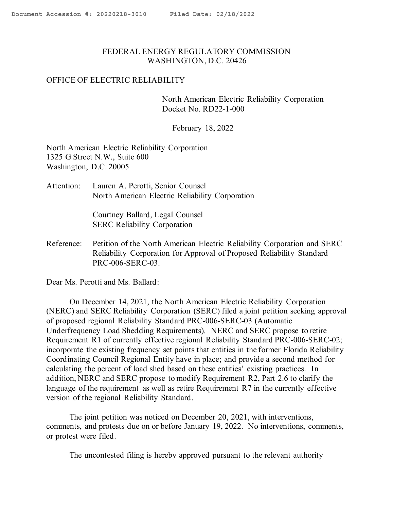## <span id="page-0-0"></span>FEDERAL ENERGY REGULATORY COMMISSION WASHINGTON, D.C. 20426

## OFFICE OF ELECTRIC RELIABILITY

North American Electric Reliability Corporation Docket No. RD22-1-000

February 18, 2022

North American Electric Reliability Corporation 1325 G Street N.W., Suite 600 Washington, D.C. 20005

Attention: Lauren A. Perotti, Senior Counsel North American Electric Reliability Corporation

> Courtney Ballard, Legal Counsel SERC Reliability Corporation

Reference: Petition of the North American Electric Reliability Corporation and SERC Reliability Corporation for Approval of Proposed Reliability Standard PRC-006-SERC-03.

Dear Ms. Perotti and Ms. Ballard:

On December 14, 2021, the North American Electric Reliability Corporation (NERC) and SERC Reliability Corporation (SERC) filed a joint petition seeking approval of proposed regional Reliability Standard PRC-006-SERC-03 (Automatic Underfrequency Load Shedding Requirements). NERC and SERC propose to retire Requirement R1 of currently effective regional Reliability Standard PRC-006-SERC-02; incorporate the existing frequency set points that entities in the former Florida Reliability Coordinating Council Regional Entity have in place; and provide a second method for calculating the percent of load shed based on these entities' existing practices. In addition, NERC and SERC propose to modify Requirement R2, Part 2.6 to clarify the language of the requirement as well as retire Requirement R7 in the currently effective version of the regional Reliability Standard.

The joint petition was noticed on December 20, 2021, with interventions, comments, and protests due on or before January 19, 2022. No interventions, comments, or protest were filed.

The uncontested filing is hereby approved pursuant to the relevant authority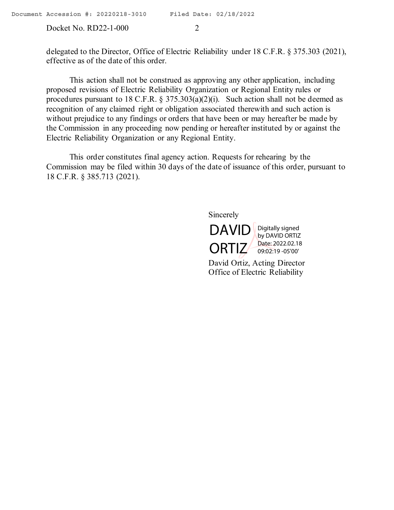Docket No. RD22-1-000 2

delegated to the Director, Office of Electric Reliability under 18 C.F.R. § 375.303 (2021), effective as of the date of this order.

This action shall not be construed as approving any other application, including proposed revisions of Electric Reliability Organization or Regional Entity rules or procedures pursuant to 18 C.F.R. § 375.303(a)(2)(i). Such action shall not be deemed as recognition of any claimed right or obligation associated therewith and such action is without prejudice to any findings or orders that have been or may hereafter be made by the Commission in any proceeding now pending or hereafter instituted by or against the Electric Reliability Organization or any Regional Entity.

This order constitutes final agency action. Requests for rehearing by the Commission may be filed within 30 days of the date of issuance of this order, pursuant to 18 C.F.R. § 385.713 (2021).

Sincerely



David Ortiz, Acting Director Office of Electric Reliability